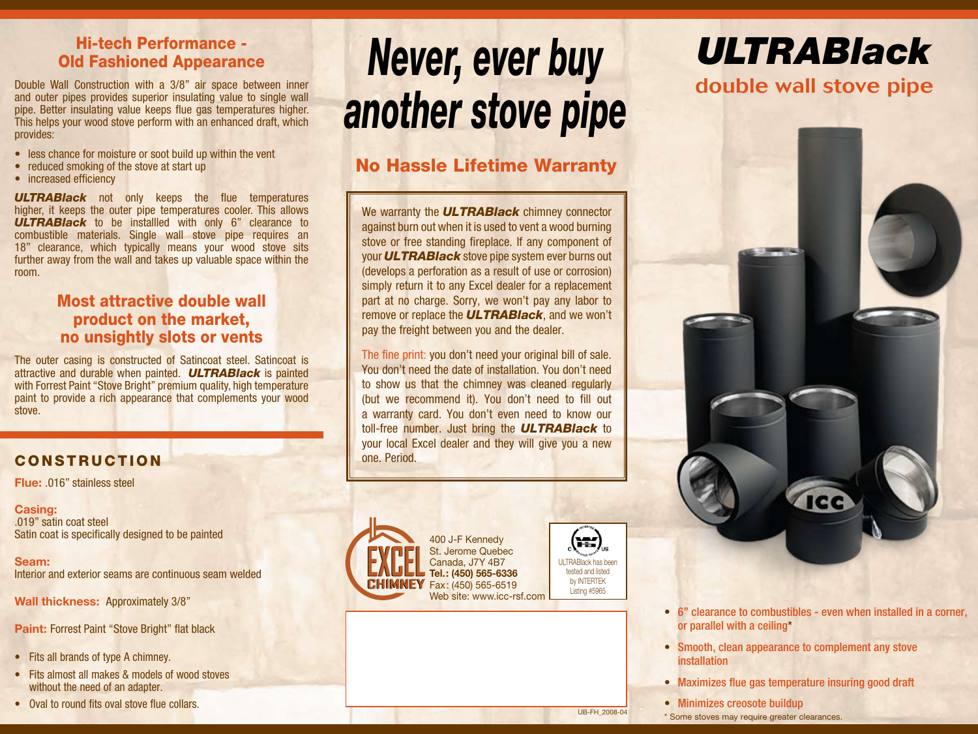#### Hi-tech Performance - Old Fashioned Appearance

Double Wall Construction with a 3/8" air space between inner and outer pipes provides superior insulating value to single wall pipe. Better insulating value keeps flue gas temperatures higher. This helps your wood stove perform with an enhanced draft, which provides:

- less chance for moisture or soot build up within the vent
- reduced smoking of the stove at start up
- increased efficiency

**ULTRABlack** not only keeps the flue temperatures higher, it keeps the outer pipe temperatures cooler. This allows *ULTRABlack* to be installled with only 6" clearance to combustible materials. Single wall stove pipe requires an 18" clearance, which typically means your wood stove sits further away from the wall and takes up valuable space within the room.

#### Most attractive double wall product on the market, no unsightly slots or vents

The outer casing is constructed of Satincoat steel. Satincoat is attractive and durable when painted. *ULTRABlack* is painted with Forrest Paint "Stove Bright" premium quality, high temperature paint to provide a rich appearance that complements your wood stove.

#### CoNSTRUCTION

**Flue:** .016" stainless steel

#### **Casing:** .019" satin coat steel Satin coat is specifically designed to be painted

**Seam:** Interior and exterior seams are continuous seam welded

**Wall thickness:** Approximately 3/8"

**Paint: Forrest Paint "Stove Bright" flat black** 

- Fits all brands of type A chimney.
- Fits almost all makes & models of wood stoves without the need of an adapter.
- Oval to round fits oval stove flue collars.

# *Never, ever buy another stove pipe*

### No Hassle Lifetime Warranty

We warranty the *ULTRABlack* chimney connector against burn out when it is used to vent a wood burning stove or free standing fireplace. If any component of your *ULTRABlack* stove pipe system ever burns out (develops a perforation as a result of use or corrosion) simply return it to any Excel dealer for a replacement part at no charge. Sorry, we won't pay any labor to remove or replace the *ULTRABlack*, and we won't pay the freight between you and the dealer.

The fine print: you don't need your original bill of sale. You don't need the date of installation. You don't need to show us that the chimney was cleaned regularly (but we recommend it). You don't need to fill out a warranty card. You don't even need to know our toll-free number. Just bring the *ULTRABlack* to your local Excel dealer and they will give you a new one. Period.



400 J-F Kennedy St. Jerome Quebec Canada, J7Y 4B7 **Tel.: (450) 565-6336** Fax: (450) 565-6519 Web site: www.icc-rsf.com



### *ULTRABlack* double wall stove pipe



- 6" clearance to combustibles even when installed in a corner, or parallel with a ceiling\*
- Smooth, clean appearance to complement any stove **installation**
- Maximizes flue gas temperature insuring good draft
- Minimizes creosote buildup

\* Some stoves may require greater clearances. UB-FH\_2008-04